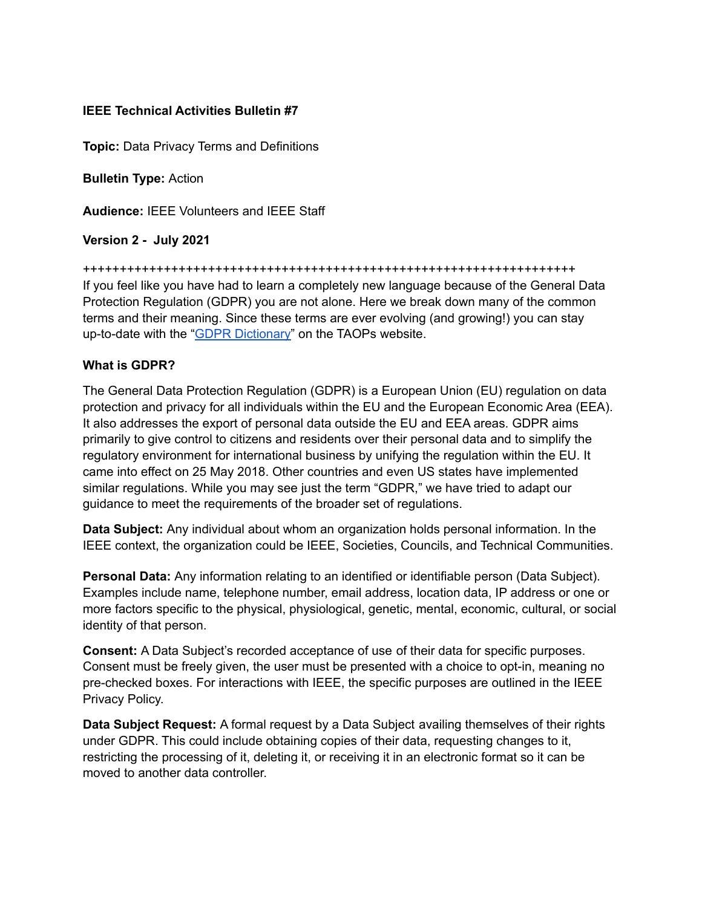## **IEEE Technical Activities Bulletin #7**

**Topic:** Data Privacy Terms and Definitions

**Bulletin Type:** Action

**Audience:** IEEE Volunteers and IEEE Staff

**Version 2 - July 2021**

+++++++++++++++++++++++++++++++++++++++++++++++++++++++++++++++++++

If you feel like you have had to learn a completely new language because of the General Data Protection Regulation (GDPR) you are not alone. Here we break down many of the common terms and their meaning. Since these terms are ever evolving (and growing!) you can stay up-to-date with the "**GDPR Dictionary**" on the TAOPs website.

## **What is GDPR?**

The General Data Protection Regulation (GDPR) is a European Union (EU) regulation on data protection and privacy for all individuals within the EU and the European Economic Area (EEA). It also addresses the export of personal data outside the EU and EEA areas. GDPR aims primarily to give control to citizens and residents over their personal data and to simplify the regulatory environment for international business by unifying the regulation within the EU. It came into effect on 25 May 2018. Other countries and even US states have implemented similar regulations. While you may see just the term "GDPR," we have tried to adapt our guidance to meet the requirements of the broader set of regulations.

**Data Subject:** Any individual about whom an organization holds personal information. In the IEEE context, the organization could be IEEE, Societies, Councils, and Technical Communities.

**Personal Data:** Any information relating to an identified or identifiable person (Data Subject). Examples include name, telephone number, email address, location data, IP address or one or more factors specific to the physical, physiological, genetic, mental, economic, cultural, or social identity of that person.

**Consent:** A Data Subject's recorded acceptance of use of their data for specific purposes. Consent must be freely given, the user must be presented with a choice to opt-in, meaning no pre-checked boxes. For interactions with IEEE, the specific purposes are outlined in the IEEE Privacy Policy.

**Data Subject Request:** A formal request by a Data Subject availing themselves of their rights under GDPR. This could include obtaining copies of their data, requesting changes to it, restricting the processing of it, deleting it, or receiving it in an electronic format so it can be moved to another data controller.